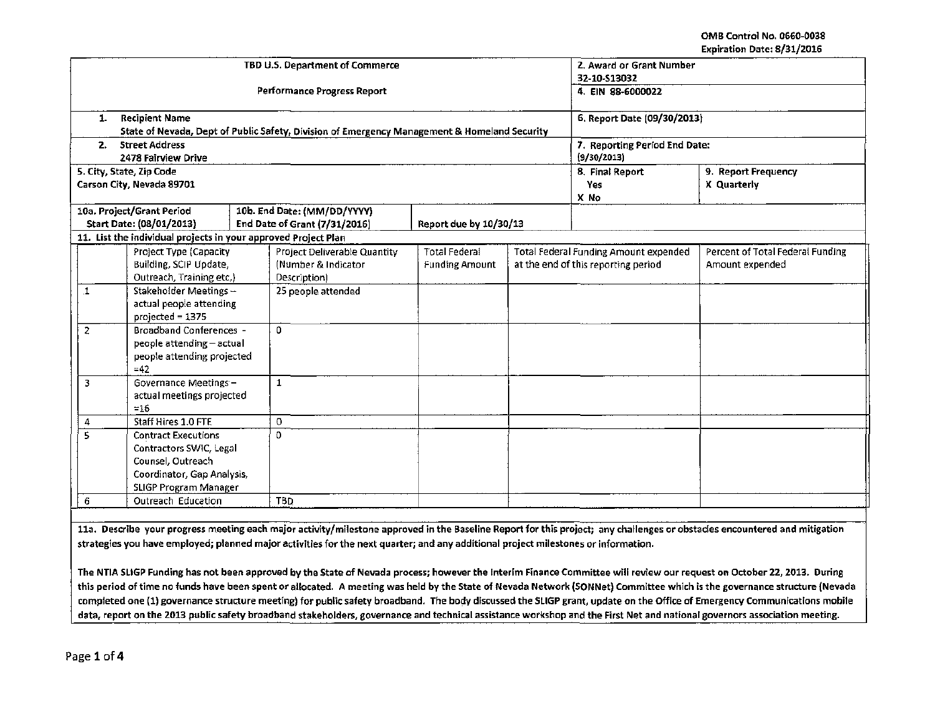## OMB Control No. 0660-0038 Expiration Date: 8/31/2016

|                                                         |                                                                |              | TBD U.S. Department of Commerce                                                              | 2. Award or Grant Number                     |  |                                              |                                  |  |  |
|---------------------------------------------------------|----------------------------------------------------------------|--------------|----------------------------------------------------------------------------------------------|----------------------------------------------|--|----------------------------------------------|----------------------------------|--|--|
|                                                         |                                                                |              | <b>Performance Progress Report</b>                                                           | 32-10-513032<br>4. EIN 88-6000022            |  |                                              |                                  |  |  |
|                                                         |                                                                |              |                                                                                              |                                              |  |                                              |                                  |  |  |
| 1.                                                      | <b>Recipient Name</b>                                          |              |                                                                                              | 6. Report Date (09/30/2013)                  |  |                                              |                                  |  |  |
|                                                         |                                                                |              | State of Nevada, Dept of Public Safety, Division of Emergency Management & Homeland Security |                                              |  |                                              |                                  |  |  |
| 2.                                                      | <b>Street Address</b><br>2478 Fairview Drive                   |              |                                                                                              | 7. Reporting Period End Date:<br>(9/30/2013) |  |                                              |                                  |  |  |
|                                                         | 5. City, State, Zip Code                                       |              |                                                                                              |                                              |  | 9. Report Frequency<br>8. Final Report       |                                  |  |  |
|                                                         | Carson City, Nevada 89701                                      |              |                                                                                              |                                              |  | Yes                                          | X Quarterly                      |  |  |
|                                                         |                                                                |              |                                                                                              |                                              |  | X No                                         |                                  |  |  |
|                                                         | 10a. Project/Grant Period                                      |              | 10b. End Date: (MM/DD/YYYY)                                                                  |                                              |  |                                              |                                  |  |  |
|                                                         | Start Date: (08/01/2013)                                       |              | End Date of Grant (7/31/2016)                                                                | Report due by 10/30/13                       |  |                                              |                                  |  |  |
|                                                         | 11. List the individual projects in your approved Project Plan |              |                                                                                              |                                              |  |                                              |                                  |  |  |
|                                                         | Project Type (Capacity                                         |              | Project Deliverable Quantity                                                                 | <b>Total Federal</b>                         |  | <b>Total Federal Funding Amount expended</b> | Percent of Total Federal Funding |  |  |
|                                                         | Building, SCIP Update,                                         |              | (Number & Indicator                                                                          | <b>Funding Amount</b>                        |  | at the end of this reporting period          | Amount expended                  |  |  |
|                                                         | Outreach, Training etc.)                                       |              | Description)                                                                                 |                                              |  |                                              |                                  |  |  |
| $\perp$                                                 | Stakeholder Meetings -                                         |              | 25 people attended                                                                           |                                              |  |                                              |                                  |  |  |
| actual people attending                                 |                                                                |              |                                                                                              |                                              |  |                                              |                                  |  |  |
|                                                         | projected = 1375                                               |              |                                                                                              |                                              |  |                                              |                                  |  |  |
| 2                                                       | <b>Broadband Conferences -</b>                                 |              | 0                                                                                            |                                              |  |                                              |                                  |  |  |
| people attending - actual                               |                                                                |              |                                                                                              |                                              |  |                                              |                                  |  |  |
| people attending projected                              |                                                                |              |                                                                                              |                                              |  |                                              |                                  |  |  |
| $=42$                                                   |                                                                | $\mathbf{1}$ |                                                                                              |                                              |  |                                              |                                  |  |  |
| Governance Meetings -<br>3<br>actual meetings projected |                                                                |              |                                                                                              |                                              |  |                                              |                                  |  |  |
| $=16$                                                   |                                                                |              |                                                                                              |                                              |  |                                              |                                  |  |  |
| 4                                                       | Staff Hires 1.0 FTE                                            |              | $\mathbf 0$                                                                                  |                                              |  |                                              |                                  |  |  |
| 5<br><b>Contract Executions</b>                         |                                                                | $\Omega$     |                                                                                              |                                              |  |                                              |                                  |  |  |
| Contractors SWIC, Legal                                 |                                                                |              |                                                                                              |                                              |  |                                              |                                  |  |  |
| Counsel, Outreach                                       |                                                                |              |                                                                                              |                                              |  |                                              |                                  |  |  |
| Coordinator, Gap Analysis,                              |                                                                |              |                                                                                              |                                              |  |                                              |                                  |  |  |
| SLIGP Program Manager                                   |                                                                |              |                                                                                              |                                              |  |                                              |                                  |  |  |
| Outreach Education<br>6                                 |                                                                | <b>TBD</b>   |                                                                                              |                                              |  |                                              |                                  |  |  |

11a. Describe your progress meeting each major activity/milestone approved in the Baseline Report for this project; any challenges or obstacles encountered and mitigation strategies you have employed; planned major activities for the next quarter; and any additional project milestones or information.

The NTIA SLIGP Funding has not been approved by the State of Nevada process; however the Interim Finance Committee will review our request on October 22, 2013. During this period of time no funds have been spent or allocated. A meeting was held by the State of Nevada Network (SONNet) Committee which is the governance structure (Nevada completed one {1) governance structure meeting) for public safety broadband. The body discussed the SUGP grant, update on the Office of Emergency Communications mobile data, report on the 2013 public safety broadband stakeholders, governance and technical assistance workshop and the First Net and national governors association meeting.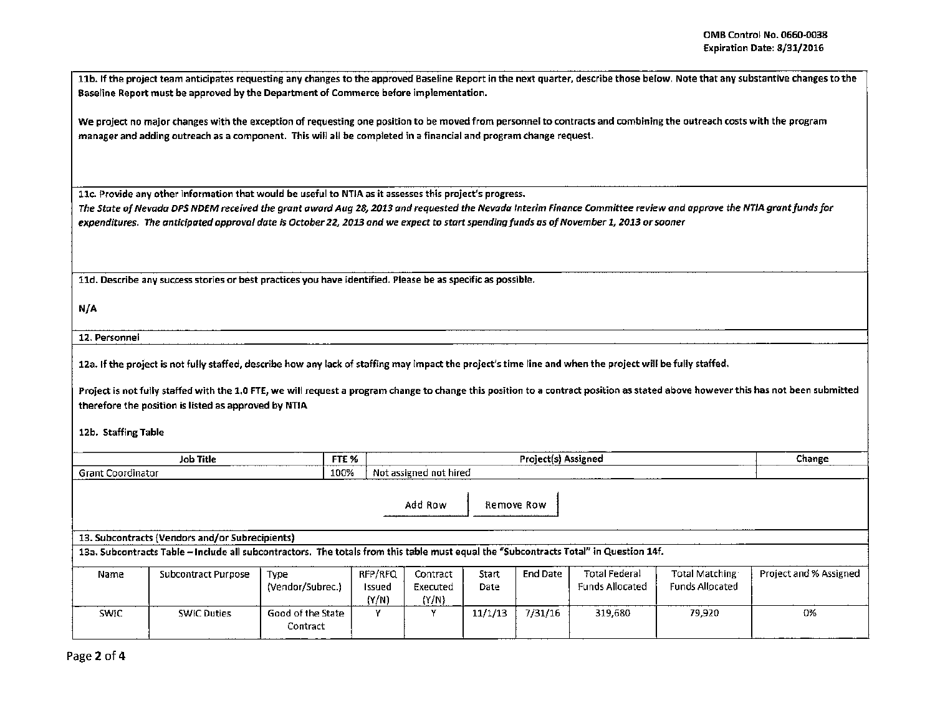11b. If the project team anticipates requesting any changes to the approved Baseline Report in the next quarter, describe those below. Note that any substantive changes to the Baseline Report must be approved by the Department of Commerce before implementation.

We project no major changes with the exception of requesting one position to be moved from personnel to contracts and combining the outreach costs with the program manager and adding outreach as a component. This will all be completed in a financial and program change request.

11c. Provide any other information that would be useful to NTIA as it assesses this project's progress.

*The State of Nevada DPS NDEM received the grant award Aug 28, 20l3 and requested the Nevada Interim Finance Committee review and approve the NT/A grant funds for expenditures. The anticipated approval date* is *October* 22, *20l3 and we expect* to start *spending funds* as *of November l, 20l3 or sooner* 

11d. Describe any success stories or best practices you have identified. Please be as specific as possible.

N/A

12. Personnel

1Za. If the project is not fully staffed, describe how any lack of staffing may impact the project's time tine and when the project will be fully staffed.

Project is not fully staffed with the 1.0 FTE, we will request a program change to change this position to a contract position as stated above however this has not been submitted therefore the position is listed as approved by NTIA

1Zb. Staffing Table

| ___<br>Title<br>Job<br>-----------------<br>______ | ----<br>__ | ssienec                                                          | Change |
|----------------------------------------------------|------------|------------------------------------------------------------------|--------|
| srant<br>Katu<br>.<br>.                            | 100%       | ' not hired<br>: assigned<br>- NG<br>_____________<br>___<br>___ |        |

Add Row Remove Row

13. Subcontracts {Vendors and/or Subrecipients)

13a. Subcontracts Table -Include all subcontractors. The totals from this table must equal the "Subcontracts Total" in Question 14f.

| Name  | Subcontract Purpose | Type<br>(Vendor/Subrec.)      | RFP/RFQ<br>Issued<br>(Y/N) | Contract<br>Executed<br>(Y/N) | Start<br>Date | <b>End Date</b> | <b>Total Federal</b><br><b>Funds Allocated</b> | Total Matching<br><b>Funds Allocated</b> | Project and % Assigned |
|-------|---------------------|-------------------------------|----------------------------|-------------------------------|---------------|-----------------|------------------------------------------------|------------------------------------------|------------------------|
| SWIC. | <b>SWIC Duties</b>  | Good of the State<br>Contract |                            |                               | 11/1/13       | 7/31/16         | 319,680                                        | 79,920                                   | 0%                     |

Page 2 of 4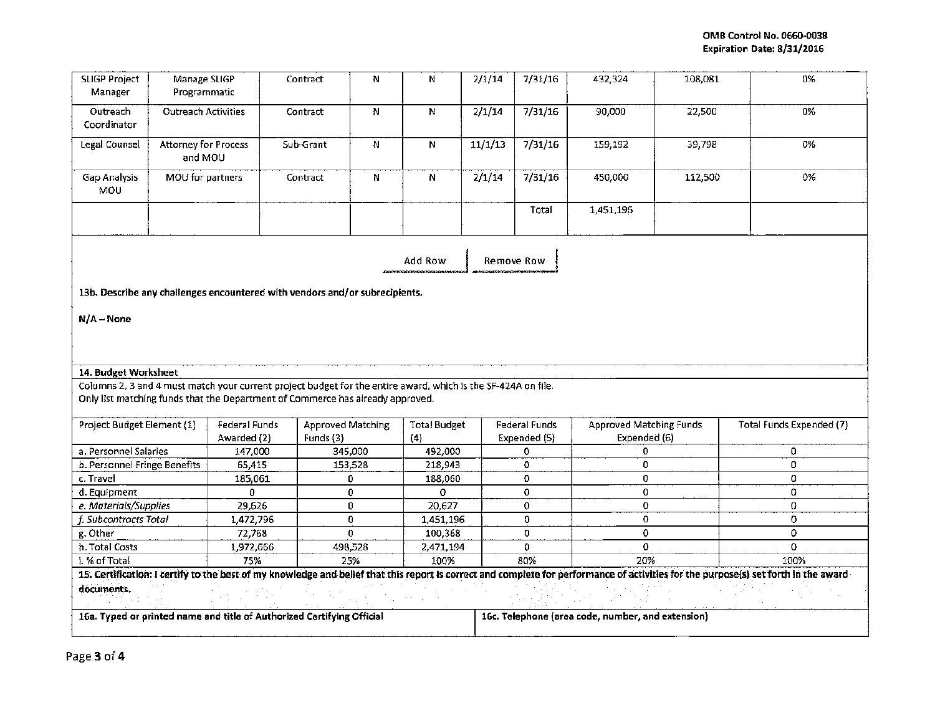| <b>SLIGP Project</b><br>Manager                                                                               | Manage SLIGP<br>Programmatic                                                |                                                                                | Contract                 | N                 | N                   | 2/1/14  | 7/31/16                                           | 432,324                        | 108,081 | 0%                                                                                                                                                                                   |  |  |
|---------------------------------------------------------------------------------------------------------------|-----------------------------------------------------------------------------|--------------------------------------------------------------------------------|--------------------------|-------------------|---------------------|---------|---------------------------------------------------|--------------------------------|---------|--------------------------------------------------------------------------------------------------------------------------------------------------------------------------------------|--|--|
| Outreach<br>Coordinator                                                                                       | <b>Outreach Activities</b>                                                  |                                                                                | Contract                 | N                 | N                   | 2/1/14  | 7/31/16                                           | 90,000                         | 22,500  | 0%                                                                                                                                                                                   |  |  |
| Legal Counsel                                                                                                 | <b>Attorney for Process</b><br>and MOU                                      |                                                                                | Sub-Grant                | N                 | N                   | 11/1/13 | 7/31/16                                           | 159,192                        | 39,798  | 0%                                                                                                                                                                                   |  |  |
| Gap Analysis<br>MOU                                                                                           | MOU for partners                                                            |                                                                                | Contract                 | N                 | N                   | 2/1/14  | 7/31/16                                           | 450,000                        | 112,500 | 0%                                                                                                                                                                                   |  |  |
|                                                                                                               |                                                                             |                                                                                |                          |                   |                     |         | Total                                             | 1,451,196                      |         |                                                                                                                                                                                      |  |  |
| Add Row<br>Remove Row                                                                                         |                                                                             |                                                                                |                          |                   |                     |         |                                                   |                                |         |                                                                                                                                                                                      |  |  |
|                                                                                                               | 13b. Describe any challenges encountered with vendors and/or subrecipients. |                                                                                |                          |                   |                     |         |                                                   |                                |         |                                                                                                                                                                                      |  |  |
| $N/A - None$                                                                                                  |                                                                             |                                                                                |                          |                   |                     |         |                                                   |                                |         |                                                                                                                                                                                      |  |  |
| 14. Budget Worksheet                                                                                          |                                                                             |                                                                                |                          |                   |                     |         |                                                   |                                |         |                                                                                                                                                                                      |  |  |
| Columns 2, 3 and 4 must match your current project budget for the entire award, which is the SF-424A on file. |                                                                             |                                                                                |                          |                   |                     |         |                                                   |                                |         |                                                                                                                                                                                      |  |  |
|                                                                                                               |                                                                             | Only list matching funds that the Department of Commerce has already approved. |                          |                   |                     |         |                                                   |                                |         |                                                                                                                                                                                      |  |  |
| Project Budget Element (1)                                                                                    |                                                                             | Federal Funds                                                                  | <b>Approved Matching</b> |                   | <b>Total Budget</b> |         | <b>Federal Funds</b>                              | <b>Approved Matching Funds</b> |         | Total Funds Expended (7)                                                                                                                                                             |  |  |
|                                                                                                               |                                                                             | Awarded (2)                                                                    | Funds (3)                |                   | (4)                 |         | Expended (5)                                      | Expended (6)                   |         |                                                                                                                                                                                      |  |  |
| a. Personnel Salaries                                                                                         |                                                                             | 147,000                                                                        |                          | 345,000           | 492,000             |         | 0                                                 | 0                              |         | $\mathbf 0$                                                                                                                                                                          |  |  |
| b. Personnel Fringe Benefits                                                                                  |                                                                             | 65,415                                                                         |                          | 153,528           | 218,943             |         | 0                                                 | 0                              |         | 0                                                                                                                                                                                    |  |  |
| c. Travel                                                                                                     |                                                                             | 185,061                                                                        |                          | 0                 | 188,060             |         | 0                                                 | 0                              |         | 0                                                                                                                                                                                    |  |  |
| d. Equipment                                                                                                  |                                                                             | 0.                                                                             |                          | 0                 | 0                   |         | 0                                                 | 0                              |         | 0                                                                                                                                                                                    |  |  |
| e. Materials/Supplies                                                                                         |                                                                             | 29,626                                                                         |                          | 0                 | 20,627              |         | 0                                                 | 0                              |         | 0                                                                                                                                                                                    |  |  |
| f. Subcontracts Total                                                                                         |                                                                             | 1,472,796                                                                      |                          | 0<br>$\mathbf{0}$ | 1,451,196           |         | 0                                                 | 0                              |         | 0<br>o                                                                                                                                                                               |  |  |
| g. Other                                                                                                      |                                                                             | 72,768                                                                         |                          | 498,528           | 100,368             |         | $\overline{0}$<br>0                               | 0                              |         | 0                                                                                                                                                                                    |  |  |
| h. Total Costs                                                                                                |                                                                             | 1,972,666<br>75%                                                               |                          | 25%               | 2,471,194<br>100%   |         | 80%                                               | 0<br>20%                       |         | 100%                                                                                                                                                                                 |  |  |
| i. % of Total                                                                                                 |                                                                             |                                                                                |                          |                   |                     |         |                                                   |                                |         | 15. Certification: I certify to the best of my knowledge and belief that this report is correct and complete for performance of activities for the purpose(s) set forth in the award |  |  |
|                                                                                                               |                                                                             |                                                                                |                          |                   |                     |         |                                                   |                                |         |                                                                                                                                                                                      |  |  |
| documents.                                                                                                    |                                                                             |                                                                                |                          |                   |                     |         |                                                   |                                |         |                                                                                                                                                                                      |  |  |
| 16a. Typed or printed name and title of Authorized Certifying Official                                        |                                                                             |                                                                                |                          |                   |                     |         | 16c. Telephone (area code, number, and extension) |                                |         |                                                                                                                                                                                      |  |  |